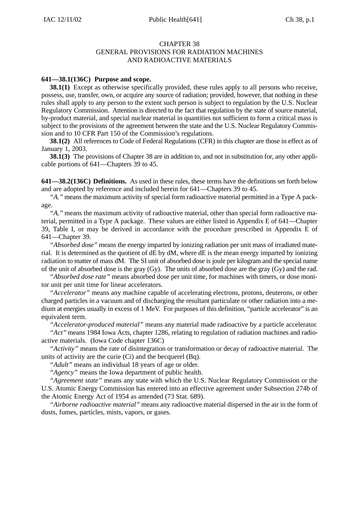#### CHAPTER 38 GENERAL PROVISIONS FOR RADIATION MACHINES AND RADIOACTIVE MATERIALS

## **641—38.1(136C) Purpose and scope.**

**38.1(1)** Except as otherwise specifically provided, these rules apply to all persons who receive, possess, use, transfer, own, or acquire any source of radiation; provided, however, that nothing in these rules shall apply to any person to the extent such person is subject to regulation by the U.S. Nuclear Regulatory Commission. Attention is directed to the fact that regulation by the state of source material, by-product material, and special nuclear material in quantities not sufficient to form a critical mass is subject to the provisions of the agreement between the state and the U.S. Nuclear Regulatory Commission and to 10 CFR Part 150 of the Commission's regulations.

**38.1(2)** All references to Code of Federal Regulations (CFR) in this chapter are those in effect as of January 1, 2003.

**38.1(3)** The provisions of Chapter 38 are in addition to, and not in substitution for, any other applicable portions of 641—Chapters 39 to 45.

**641—38.2(136C) Definitions.** As used in these rules, these terms have the definitions set forth below and are adopted by reference and included herein for 641—Chapters 39 to 45.

*"A1"* means the maximum activity of special form radioactive material permitted in a Type A package.

*"A2"* means the maximum activity of radioactive material, other than special form radioactive material, permitted in a Type A package. These values are either listed in Appendix E of 641—Chapter 39, Table I, or may be derived in accordance with the procedure prescribed in Appendix E of 641—Chapter 39.

*"Absorbed dose"* means the energy imparted by ionizing radiation per unit mass of irradiated material. It is determined as the quotient of dE by dM, where dE is the mean energy imparted by ionizing radiation to matter of mass dM. The SI unit of absorbed dose is joule per kilogram and the special name of the unit of absorbed dose is the gray (Gy). The units of absorbed dose are the gray (Gy) and the rad.

*"Absorbed dose rate"* means absorbed dose per unit time, for machines with timers, or dose monitor unit per unit time for linear accelerators.

*"Accelerator"* means any machine capable of accelerating electrons, protons, deuterons, or other charged particles in a vacuum and of discharging the resultant particulate or other radiation into a medium at energies usually in excess of 1 MeV. For purposes of this definition, "particle accelerator" is an equivalent term.

*"Accelerator-produced material"* means any material made radioactive by a particle accelerator.

*"Act"* means 1984 Iowa Acts, chapter 1286, relating to regulation of radiation machines and radioactive materials. (Iowa Code chapter 136C)

*"Activity"* means the rate of disintegration or transformation or decay of radioactive material. The units of activity are the curie (Ci) and the becquerel (Bq).

*"Adult"* means an individual 18 years of age or older.

*"Agency"* means the Iowa department of public health.

*"Agreement state"* means any state with which the U.S. Nuclear Regulatory Commission or the U.S. Atomic Energy Commission has entered into an effective agreement under Subsection 274b of the Atomic Energy Act of 1954 as amended (73 Stat. 689).

*"Airborne radioactive material"* means any radioactive material dispersed in the air in the form of dusts, fumes, particles, mists, vapors, or gases.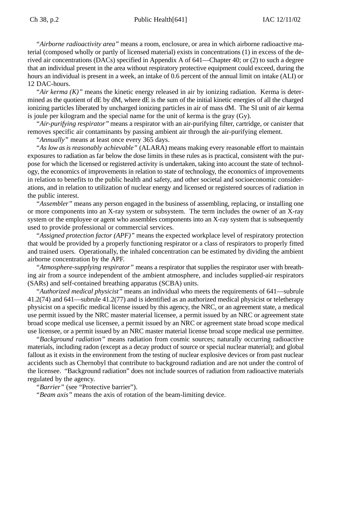*"Airborne radioactivity area"* means a room, enclosure, or area in which airborne radioactive material (composed wholly or partly of licensed material) exists in concentrations (1) in excess of the derived air concentrations (DACs) specified in Appendix A of 641—Chapter 40; or (2) to such a degree that an individual present in the area without respiratory protective equipment could exceed, during the hours an individual is present in a week, an intake of 0.6 percent of the annual limit on intake (ALI) or 12 DAC-hours.

*"Air kerma (K)"* means the kinetic energy released in air by ionizing radiation. Kerma is determined as the quotient of dE by dM, where dE is the sum of the initial kinetic energies of all the charged ionizing particles liberated by uncharged ionizing particles in air of mass dM. The SI unit of air kerma is joule per kilogram and the special name for the unit of kerma is the gray (Gy).

*"Air-purifying respirator"* means a respirator with an air-purifying filter, cartridge, or canister that removes specific air contaminants by passing ambient air through the air-purifying element.

*"Annually"* means at least once every 365 days.

*"As low as is reasonably achievable"* (ALARA) means making every reasonable effort to maintain exposures to radiation as far below the dose limits in these rules as is practical, consistent with the purpose for which the licensed or registered activity is undertaken, taking into account the state of technology, the economics of improvements in relation to state of technology, the economics of improvements in relation to benefits to the public health and safety, and other societal and socioeconomic considerations, and in relation to utilization of nuclear energy and licensed or registered sources of radiation in the public interest.

*"Assembler"* means any person engaged in the business of assembling, replacing, or installing one or more components into an X-ray system or subsystem. The term includes the owner of an X-ray system or the employee or agent who assembles components into an X-ray system that is subsequently used to provide professional or commercial services.

*"Assigned protection factor (APF)"* means the expected workplace level of respiratory protection that would be provided by a properly functioning respirator or a class of respirators to properly fitted and trained users. Operationally, the inhaled concentration can be estimated by dividing the ambient airborne concentration by the APF.

*"Atmosphere-supplying respirator"* means a respirator that supplies the respirator user with breathing air from a source independent of the ambient atmosphere, and includes supplied-air respirators (SARs) and self-contained breathing apparatus (SCBA) units.

*"Authorized medical physicist"* means an individual who meets the requirements of 641—subrule 41.2(74) and 641—subrule 41.2(77) and is identified as an authorized medical physicist or teletherapy physicist on a specific medical license issued by this agency, the NRC, or an agreement state, a medical use permit issued by the NRC master material licensee, a permit issued by an NRC or agreement state broad scope medical use licensee, a permit issued by an NRC or agreement state broad scope medical use licensee, or a permit issued by an NRC master material license broad scope medical use permittee.

*"Background radiation"* means radiation from cosmic sources; naturally occurring radioactive materials, including radon (except as a decay product of source or special nuclear material); and global fallout as it exists in the environment from the testing of nuclear explosive devices or from past nuclear accidents such as Chernobyl that contribute to background radiation and are not under the control of the licensee. "Background radiation" does not include sources of radiation from radioactive materials regulated by the agency.

*"Barrier"* (see "Protective barrier").

*"Beam axis"* means the axis of rotation of the beam-limiting device.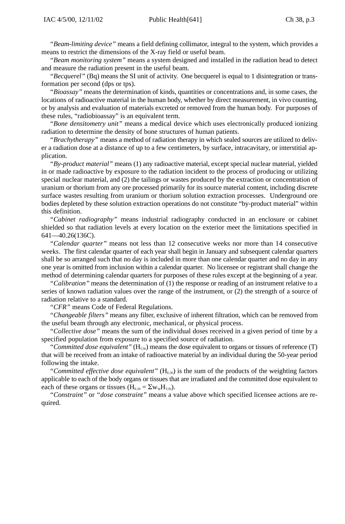*"Beam-limiting device"* means a field defining collimator, integral to the system, which provides a means to restrict the dimensions of the X-ray field or useful beam.

*"Beam monitoring system"* means a system designed and installed in the radiation head to detect and measure the radiation present in the useful beam.

*"Becquerel"* (Bq) means the SI unit of activity. One becquerel is equal to 1 disintegration or transformation per second (dps or tps).

*"Bioassay"* means the determination of kinds, quantities or concentrations and, in some cases, the locations of radioactive material in the human body, whether by direct measurement, in vivo counting, or by analysis and evaluation of materials excreted or removed from the human body. For purposes of these rules, "radiobioassay" is an equivalent term.

*"Bone densitometry unit"* means a medical device which uses electronically produced ionizing radiation to determine the density of bone structures of human patients.

*"Brachytherapy"* means a method of radiation therapy in which sealed sources are utilized to deliver a radiation dose at a distance of up to a few centimeters, by surface, intracavitary, or interstitial application.

*"By-product material"* means (1) any radioactive material, except special nuclear material, yielded in or made radioactive by exposure to the radiation incident to the process of producing or utilizing special nuclear material, and (2) the tailings or wastes produced by the extraction or concentration of uranium or thorium from any ore processed primarily for its source material content, including discrete surface wastes resulting from uranium or thorium solution extraction processes. Underground ore bodies depleted by these solution extraction operations do not constitute "by-product material" within this definition.

*"Cabinet radiography"* means industrial radiography conducted in an enclosure or cabinet shielded so that radiation levels at every location on the exterior meet the limitations specified in 641—40.26(136C).

*"Calendar quarter"* means not less than 12 consecutive weeks nor more than 14 consecutive weeks. The first calendar quarter of each year shall begin in January and subsequent calendar quarters shall be so arranged such that no day is included in more than one calendar quarter and no day in any one year is omitted from inclusion within a calendar quarter. No licensee or registrant shall change the method of determining calendar quarters for purposes of these rules except at the beginning of a year.

*"Calibration"* means the determination of (1) the response or reading of an instrument relative to a series of known radiation values over the range of the instrument, or (2) the strength of a source of radiation relative to a standard.

*"CFR"* means Code of Federal Regulations.

*"Changeable filters"* means any filter, exclusive of inherent filtration, which can be removed from the useful beam through any electronic, mechanical, or physical process.

*"Collective dose"* means the sum of the individual doses received in a given period of time by a specified population from exposure to a specified source of radiation.

"Committed dose equivalent" ( $H<sub>T,50</sub>$ ) means the dose equivalent to organs or tissues of reference (T) that will be received from an intake of radioactive material by an individual during the 50-year period following the intake.

"Committed effective dose equivalent" (H<sub>E,50</sub>) is the sum of the products of the weighting factors applicable to each of the body organs or tissues that are irradiated and the committed dose equivalent to each of these organs or tissues ( $H<sub>E,50</sub> = \sum w_{T} H<sub>T,50</sub>$ ).

*"Constraint"* or *"dose constraint"* means a value above which specified licensee actions are required.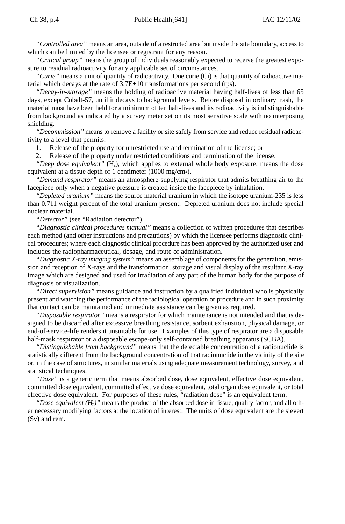*"Controlled area"* means an area, outside of a restricted area but inside the site boundary, access to which can be limited by the licensee or registrant for any reason.

*"Critical group"* means the group of individuals reasonably expected to receive the greatest exposure to residual radioactivity for any applicable set of circumstances.

*"Curie"* means a unit of quantity of radioactivity. One curie (Ci) is that quantity of radioactive material which decays at the rate of 3.7E+10 transformations per second (tps).

*"Decay-in-storage"* means the holding of radioactive material having half-lives of less than 65 days, except Cobalt-57, until it decays to background levels. Before disposal in ordinary trash, the material must have been held for a minimum of ten half-lives and its radioactivity is indistinguishable from background as indicated by a survey meter set on its most sensitive scale with no interposing shielding.

*"Decommission"* means to remove a facility or site safely from service and reduce residual radioactivity to a level that permits:

1. Release of the property for unrestricted use and termination of the license; or

2. Release of the property under restricted conditions and termination of the license.

*"Deep dose equivalent"* (H<sub>a</sub>), which applies to external whole body exposure, means the dose equivalent at a tissue depth of 1 centimeter (1000 mg/cm2).

*"Demand respirator"* means an atmosphere-supplying respirator that admits breathing air to the facepiece only when a negative pressure is created inside the facepiece by inhalation.

*"Depleted uranium"* means the source material uranium in which the isotope uranium-235 is less than 0.711 weight percent of the total uranium present. Depleted uranium does not include special nuclear material.

*"Detector"* (see "Radiation detector").

*"Diagnostic clinical procedures manual"* means a collection of written procedures that describes each method (and other instructions and precautions) by which the licensee performs diagnostic clinical procedures; where each diagnostic clinical procedure has been approved by the authorized user and includes the radiopharmaceutical, dosage, and route of administration.

*"Diagnostic X-ray imaging system"* means an assemblage of components for the generation, emission and reception of X-rays and the transformation, storage and visual display of the resultant X-ray image which are designed and used for irradiation of any part of the human body for the purpose of diagnosis or visualization.

*"Direct supervision"* means guidance and instruction by a qualified individual who is physically present and watching the performance of the radiological operation or procedure and in such proximity that contact can be maintained and immediate assistance can be given as required.

*"Disposable respirator"* means a respirator for which maintenance is not intended and that is designed to be discarded after excessive breathing resistance, sorbent exhaustion, physical damage, or end-of-service-life renders it unsuitable for use. Examples of this type of respirator are a disposable half-mask respirator or a disposable escape-only self-contained breathing apparatus (SCBA).

*"Distinguishable from background"* means that the detectable concentration of a radionuclide is statistically different from the background concentration of that radionuclide in the vicinity of the site or, in the case of structures, in similar materials using adequate measurement technology, survey, and statistical techniques.

*"Dose"* is a generic term that means absorbed dose, dose equivalent, effective dose equivalent, committed dose equivalent, committed effective dose equivalent, total organ dose equivalent, or total effective dose equivalent. For purposes of these rules, "radiation dose" is an equivalent term.

*"Dose equivalent*  $(H<sub>r</sub>)$ *"* means the product of the absorbed dose in tissue, quality factor, and all other necessary modifying factors at the location of interest. The units of dose equivalent are the sievert (Sv) and rem.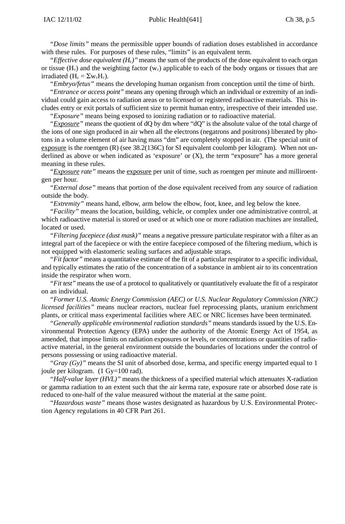*"Dose limits"* means the permissible upper bounds of radiation doses established in accordance with these rules. For purposes of these rules, "limits" is an equivalent term.

*"Effective dose equivalent*  $(H<sub>E</sub>)$ *"* means the sum of the products of the dose equivalent to each organ or tissue (H<sub>T</sub>) and the weighting factor ( $w_T$ ) applicable to each of the body organs or tissues that are irradiated  $(H<sub>E</sub> = \Sigma w<sub>T</sub>H<sub>T</sub>)$ .

*"Embryo/fetus"* means the developing human organism from conception until the time of birth.

*"Entrance or access point"* means any opening through which an individual or extremity of an individual could gain access to radiation areas or to licensed or registered radioactive materials. This includes entry or exit portals of sufficient size to permit human entry, irrespective of their intended use. *"Exposure"* means being exposed to ionizing radiation or to radioactive material.

*"Exposure"* means the quotient of dQ by dm where "dQ" is the absolute value of the total charge of the ions of one sign produced in air when all the electrons (negatrons and positrons) liberated by photons in a volume element of air having mass "dm" are completely stopped in air. (The special unit of exposure is the roentgen  $(R)$  (see 38.2(136C) for SI equivalent coulomb per kilogram). When not underlined as above or when indicated as 'exposure' or  $(X)$ , the term "exposure" has a more general meaning in these rules.

*"Exposure rate"* means the exposure per unit of time, such as roentgen per minute and milliroentgen per hour.

*"External dose"* means that portion of the dose equivalent received from any source of radiation outside the body.

*"Extremity"* means hand, elbow, arm below the elbow, foot, knee, and leg below the knee.

*"Facility"* means the location, building, vehicle, or complex under one administrative control, at which radioactive material is stored or used or at which one or more radiation machines are installed, located or used.

*"Filtering facepiece (dust mask)"* means a negative pressure particulate respirator with a filter as an integral part of the facepiece or with the entire facepiece composed of the filtering medium, which is not equipped with elastomeric sealing surfaces and adjustable straps.

*"Fit factor"* means a quantitative estimate of the fit of a particular respirator to a specific individual, and typically estimates the ratio of the concentration of a substance in ambient air to its concentration inside the respirator when worn.

*"Fit test"* means the use of a protocol to qualitatively or quantitatively evaluate the fit of a respirator on an individual.

*"Former U.S. Atomic Energy Commission (AEC) or U.S. Nuclear Regulatory Commission (NRC) licensed facilities"* means nuclear reactors, nuclear fuel reprocessing plants, uranium enrichment plants, or critical mass experimental facilities where AEC or NRC licenses have been terminated.

*"Generally applicable environmental radiation standards"* means standards issued by the U.S. Environmental Protection Agency (EPA) under the authority of the Atomic Energy Act of 1954, as amended, that impose limits on radiation exposures or levels, or concentrations or quantities of radioactive material, in the general environment outside the boundaries of locations under the control of persons possessing or using radioactive material.

*"Gray (Gy)"* means the SI unit of absorbed dose, kerma, and specific energy imparted equal to 1 joule per kilogram. (1 Gy=100 rad).

*"Half-value layer (HVL)"* means the thickness of a specified material which attenuates X-radiation or gamma radiation to an extent such that the air kerma rate, exposure rate or absorbed dose rate is reduced to one-half of the value measured without the material at the same point.

*"Hazardous waste"* means those wastes designated as hazardous by U.S. Environmental Protection Agency regulations in 40 CFR Part 261.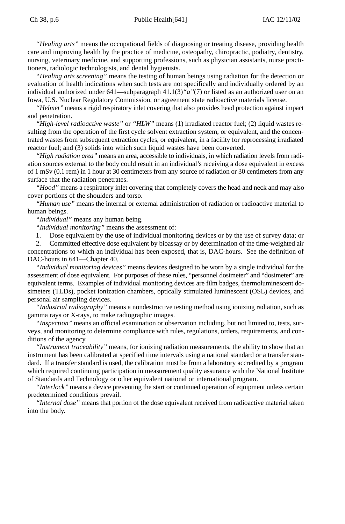### Ch 38, p.6 **Public Health**[641] **IAC 12/11/02**

*"Healing arts"* means the occupational fields of diagnosing or treating disease, providing health care and improving health by the practice of medicine, osteopathy, chiropractic, podiatry, dentistry, nursing, veterinary medicine, and supporting professions, such as physician assistants, nurse practitioners, radiologic technologists, and dental hygienists.

*"Healing arts screening"* means the testing of human beings using radiation for the detection or evaluation of health indications when such tests are not specifically and individually ordered by an individual authorized under 641—subparagraph 41.1(3)*"a"*(7) or listed as an authorized user on an Iowa, U.S. Nuclear Regulatory Commission, or agreement state radioactive materials license.

*"Helmet"* means a rigid respiratory inlet covering that also provides head protection against impact and penetration.

*"High-level radioactive waste"* or *"HLW"* means (1) irradiated reactor fuel; (2) liquid wastes resulting from the operation of the first cycle solvent extraction system, or equivalent, and the concentrated wastes from subsequent extraction cycles, or equivalent, in a facility for reprocessing irradiated reactor fuel; and (3) solids into which such liquid wastes have been converted.

*"High radiation area"* means an area, accessible to individuals, in which radiation levels from radiation sources external to the body could result in an individual's receiving a dose equivalent in excess of 1 mSv (0.1 rem) in 1 hour at 30 centimeters from any source of radiation or 30 centimeters from any surface that the radiation penetrates.

*"Hood"* means a respiratory inlet covering that completely covers the head and neck and may also cover portions of the shoulders and torso.

*"Human use"* means the internal or external administration of radiation or radioactive material to human beings.

*"Individual"* means any human being.

*"Individual monitoring"* means the assessment of:

1. Dose equivalent by the use of individual monitoring devices or by the use of survey data; or 2. Committed effective dose equivalent by bioassay or by determination of the time-weighted air

concentrations to which an individual has been exposed, that is, DAC-hours. See the definition of DAC-hours in 641—Chapter 40.

*"Individual monitoring devices"* means devices designed to be worn by a single individual for the assessment of dose equivalent. For purposes of these rules, "personnel dosimeter" and "dosimeter" are equivalent terms. Examples of individual monitoring devices are film badges, thermoluminescent dosimeters (TLDs), pocket ionization chambers, optically stimulated luminescent (OSL) devices, and personal air sampling devices.

*"Industrial radiography"* means a nondestructive testing method using ionizing radiation, such as gamma rays or X-rays, to make radiographic images.

*"Inspection"* means an official examination or observation including, but not limited to, tests, surveys, and monitoring to determine compliance with rules, regulations, orders, requirements, and conditions of the agency.

*"Instrument traceability"* means, for ionizing radiation measurements, the ability to show that an instrument has been calibrated at specified time intervals using a national standard or a transfer standard. If a transfer standard is used, the calibration must be from a laboratory accredited by a program which required continuing participation in measurement quality assurance with the National Institute of Standards and Technology or other equivalent national or international program.

*"Interlock"* means a device preventing the start or continued operation of equipment unless certain predetermined conditions prevail.

*"Internal dose"* means that portion of the dose equivalent received from radioactive material taken into the body.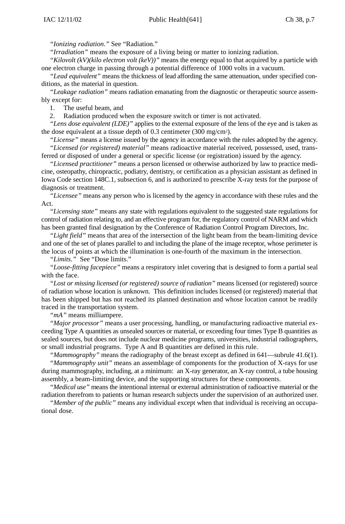*"Ionizing radiation."* See "Radiation."

*"Irradiation"* means the exposure of a living being or matter to ionizing radiation.

*"Kilovolt (kV)(kilo electron volt (keV))"* means the energy equal to that acquired by a particle with one electron charge in passing through a potential difference of 1000 volts in a vacuum.

*"Lead equivalent"* means the thickness of lead affording the same attenuation, under specified conditions, as the material in question.

*"Leakage radiation"* means radiation emanating from the diagnostic or therapeutic source assembly except for:

1. The useful beam, and

2. Radiation produced when the exposure switch or timer is not activated.

*"Lens dose equivalent (LDE)"* applies to the external exposure of the lens of the eye and is taken as the dose equivalent at a tissue depth of 0.3 centimeter (300 mg/cm2).

*"License"* means a license issued by the agency in accordance with the rules adopted by the agency. *"Licensed (or registered) material"* means radioactive material received, possessed, used, trans-

ferred or disposed of under a general or specific license (or registration) issued by the agency.

*"Licensed practitioner"* means a person licensed or otherwise authorized by law to practice medicine, osteopathy, chiropractic, podiatry, dentistry, or certification as a physician assistant as defined in Iowa Code section 148C.1, subsection 6, and is authorized to prescribe X-ray tests for the purpose of diagnosis or treatment.

*"Licensee"* means any person who is licensed by the agency in accordance with these rules and the Act.

*"Licensing state"* means any state with regulations equivalent to the suggested state regulations for control of radiation relating to, and an effective program for, the regulatory control of NARM and which has been granted final designation by the Conference of Radiation Control Program Directors, Inc.

*"Light field"* means that area of the intersection of the light beam from the beam-limiting device and one of the set of planes parallel to and including the plane of the image receptor, whose perimeter is the locus of points at which the illumination is one-fourth of the maximum in the intersection.

*"Limits."* See "Dose limits."

*"Loose-fitting facepiece"* means a respiratory inlet covering that is designed to form a partial seal with the face.

*"Lost or missing licensed (or registered) source of radiation"* means licensed (or registered) source of radiation whose location is unknown. This definition includes licensed (or registered) material that has been shipped but has not reached its planned destination and whose location cannot be readily traced in the transportation system.

*"mA"* means milliampere.

*"Major processor"* means a user processing, handling, or manufacturing radioactive material exceeding Type A quantities as unsealed sources or material, or exceeding four times Type B quantities as sealed sources, but does not include nuclear medicine programs, universities, industrial radiographers, or small industrial programs. Type A and B quantities are defined in this rule.

*"Mammography"* means the radiography of the breast except as defined in 641—subrule 41.6(1). *"Mammography unit"* means an assemblage of components for the production of X-rays for use during mammography, including, at a minimum: an X-ray generator, an X-ray control, a tube housing

assembly, a beam-limiting device, and the supporting structures for these components. *"Medical use"* means the intentional internal or external administration of radioactive material or the

radiation therefrom to patients or human research subjects under the supervision of an authorized user. *"Member of the public"* means any individual except when that individual is receiving an occupa-

tional dose.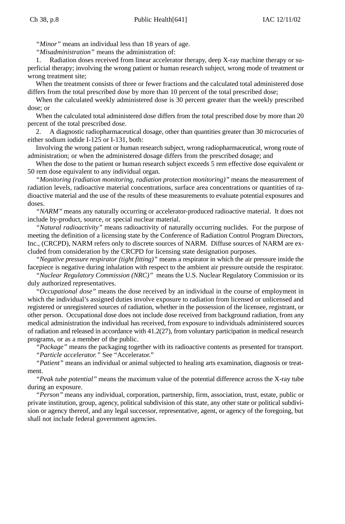*"Minor"* means an individual less than 18 years of age.

*"Misadministration"* means the administration of:

1. Radiation doses received from linear accelerator therapy, deep X-ray machine therapy or superficial therapy; involving the wrong patient or human research subject, wrong mode of treatment or wrong treatment site;

When the treatment consists of three or fewer fractions and the calculated total administered dose differs from the total prescribed dose by more than 10 percent of the total prescribed dose;

When the calculated weekly administered dose is 30 percent greater than the weekly prescribed dose; or

When the calculated total administered dose differs from the total prescribed dose by more than 20 percent of the total prescribed dose.

2. A diagnostic radiopharmaceutical dosage, other than quantities greater than 30 microcuries of either sodium iodide I-125 or I-131, both:

Involving the wrong patient or human research subject, wrong radiopharmaceutical, wrong route of administration; or when the administered dosage differs from the prescribed dosage; and

When the dose to the patient or human research subject exceeds 5 rem effective dose equivalent or 50 rem dose equivalent to any individual organ.

*"Monitoring (radiation monitoring, radiation protection monitoring)"* means the measurement of radiation levels, radioactive material concentrations, surface area concentrations or quantities of radioactive material and the use of the results of these measurements to evaluate potential exposures and doses.

*"NARM"* means any naturally occurring or accelerator-produced radioactive material. It does not include by-product, source, or special nuclear material.

*"Natural radioactivity"* means radioactivity of naturally occurring nuclides. For the purpose of meeting the definition of a licensing state by the Conference of Radiation Control Program Directors, Inc., (CRCPD), NARM refers only to discrete sources of NARM. Diffuse sources of NARM are excluded from consideration by the CRCPD for licensing state designation purposes.

*"Negative pressure respirator (tight fitting)"* means a respirator in which the air pressure inside the facepiece is negative during inhalation with respect to the ambient air pressure outside the respirator.

*"Nuclear Regulatory Commission (NRC)"* means the U.S. Nuclear Regulatory Commission or its duly authorized representatives.

*"Occupational dose"* means the dose received by an individual in the course of employment in which the individual's assigned duties involve exposure to radiation from licensed or unlicensed and registered or unregistered sources of radiation, whether in the possession of the licensee, registrant, or other person. Occupational dose does not include dose received from background radiation, from any medical administration the individual has received, from exposure to individuals administered sources of radiation and released in accordance with 41.2(27), from voluntary participation in medical research programs, or as a member of the public.

*"Package"* means the packaging together with its radioactive contents as presented for transport. *"Particle accelerator."* See "Accelerator."

*"Patient"* means an individual or animal subjected to healing arts examination, diagnosis or treatment.

*"Peak tube potential"* means the maximum value of the potential difference across the X-ray tube during an exposure.

*"Person"* means any individual, corporation, partnership, firm, association, trust, estate, public or private institution, group, agency, political subdivision of this state, any other state or political subdivision or agency thereof, and any legal successor, representative, agent, or agency of the foregoing, but shall not include federal government agencies.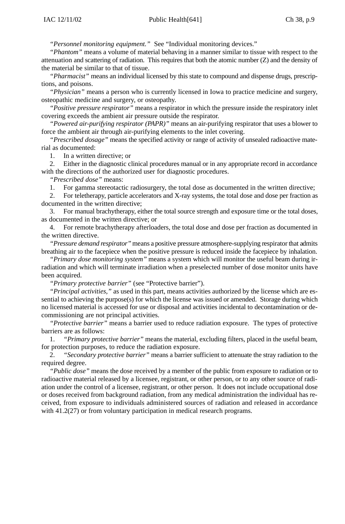*"Personnel monitoring equipment."* See "Individual monitoring devices."

*"Phantom"* means a volume of material behaving in a manner similar to tissue with respect to the attenuation and scattering of radiation. This requires that both the atomic number (Z) and the density of the material be similar to that of tissue.

*"Pharmacist"* means an individual licensed by this state to compound and dispense drugs, prescriptions, and poisons.

*"Physician"* means a person who is currently licensed in Iowa to practice medicine and surgery, osteopathic medicine and surgery, or osteopathy.

*"Positive pressure respirator"* means a respirator in which the pressure inside the respiratory inlet covering exceeds the ambient air pressure outside the respirator.

*"Powered air-purifying respirator (PAPR)"* means an air-purifying respirator that uses a blower to force the ambient air through air-purifying elements to the inlet covering.

*"Prescribed dosage"* means the specified activity or range of activity of unsealed radioactive material as documented:

1. In a written directive; or

2. Either in the diagnostic clinical procedures manual or in any appropriate record in accordance with the directions of the authorized user for diagnostic procedures.

*"Prescribed dose"* means:

1. For gamma stereotactic radiosurgery, the total dose as documented in the written directive;

2. For teletherapy, particle accelerators and X-ray systems, the total dose and dose per fraction as documented in the written directive;

3. For manual brachytherapy, either the total source strength and exposure time or the total doses, as documented in the written directive; or

4. For remote brachytherapy afterloaders, the total dose and dose per fraction as documented in the written directive.

*"Pressure demand respirator"* means a positive pressure atmosphere-supplying respirator that admits breathing air to the facepiece when the positive pressure is reduced inside the facepiece by inhalation.

*"Primary dose monitoring system"* means a system which will monitor the useful beam during irradiation and which will terminate irradiation when a preselected number of dose monitor units have been acquired.

*"Primary protective barrier"* (see "Protective barrier").

*"Principal activities,"* as used in this part, means activities authorized by the license which are essential to achieving the purpose(s) for which the license was issued or amended. Storage during which no licensed material is accessed for use or disposal and activities incidental to decontamination or decommissioning are not principal activities.

*"Protective barrier"* means a barrier used to reduce radiation exposure. The types of protective barriers are as follows:

1. *"Primary protective barrier"* means the material, excluding filters, placed in the useful beam, for protection purposes, to reduce the radiation exposure.

2. *"Secondary protective barrier"* means a barrier sufficient to attenuate the stray radiation to the required degree.

*"Public dose"* means the dose received by a member of the public from exposure to radiation or to radioactive material released by a licensee, registrant, or other person, or to any other source of radiation under the control of a licensee, registrant, or other person. It does not include occupational dose or doses received from background radiation, from any medical administration the individual has received, from exposure to individuals administered sources of radiation and released in accordance with 41.2(27) or from voluntary participation in medical research programs.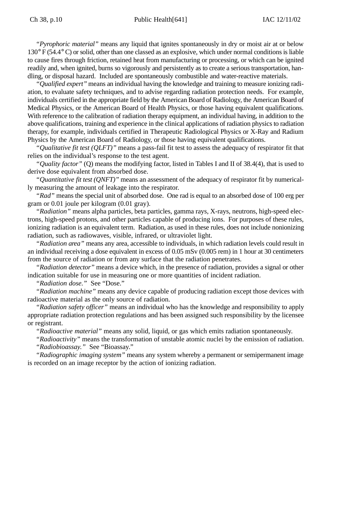*"Pyrophoric material"* means any liquid that ignites spontaneously in dry or moist air at or below 130° F (54.4° C) or solid, other than one classed as an explosive, which under normal conditions is liable to cause fires through friction, retained heat from manufacturing or processing, or which can be ignited readily and, when ignited, burns so vigorously and persistently as to create a serious transportation, handling, or disposal hazard. Included are spontaneously combustible and water-reactive materials.

*"Qualified expert"* means an individual having the knowledge and training to measure ionizing radiation, to evaluate safety techniques, and to advise regarding radiation protection needs. For example, individuals certified in the appropriate field by the American Board of Radiology, the American Board of Medical Physics, or the American Board of Health Physics, or those having equivalent qualifications. With reference to the calibration of radiation therapy equipment, an individual having, in addition to the above qualifications, training and experience in the clinical applications of radiation physics to radiation therapy, for example, individuals certified in Therapeutic Radiological Physics or X-Ray and Radium Physics by the American Board of Radiology, or those having equivalent qualifications.

*"Qualitative fit test (QLFT)"* means a pass-fail fit test to assess the adequacy of respirator fit that relies on the individual's response to the test agent.

*"Quality factor"* (Q) means the modifying factor, listed in Tables I and II of 38.4(4), that is used to derive dose equivalent from absorbed dose.

*"Quantitative fit test (QNFT)"* means an assessment of the adequacy of respirator fit by numerically measuring the amount of leakage into the respirator.

*"Rad"* means the special unit of absorbed dose. One rad is equal to an absorbed dose of 100 erg per gram or 0.01 joule per kilogram (0.01 gray).

*"Radiation"* means alpha particles, beta particles, gamma rays, X-rays, neutrons, high-speed electrons, high-speed protons, and other particles capable of producing ions. For purposes of these rules, ionizing radiation is an equivalent term. Radiation, as used in these rules, does not include nonionizing radiation, such as radiowaves, visible, infrared, or ultraviolet light.

*"Radiation area"* means any area, accessible to individuals, in which radiation levels could result in an individual receiving a dose equivalent in excess of 0.05 mSv (0.005 rem) in 1 hour at 30 centimeters from the source of radiation or from any surface that the radiation penetrates.

*"Radiation detector"* means a device which, in the presence of radiation, provides a signal or other indication suitable for use in measuring one or more quantities of incident radiation.

*"Radiation dose."* See "Dose."

*"Radiation machine"* means any device capable of producing radiation except those devices with radioactive material as the only source of radiation.

*"Radiation safety officer"* means an individual who has the knowledge and responsibility to apply appropriate radiation protection regulations and has been assigned such responsibility by the licensee or registrant.

*"Radioactive material"* means any solid, liquid, or gas which emits radiation spontaneously.

*"Radioactivity"* means the transformation of unstable atomic nuclei by the emission of radiation. *"Radiobioassay."* See "Bioassay."

*"Radiographic imaging system"* means any system whereby a permanent or semipermanent image is recorded on an image receptor by the action of ionizing radiation.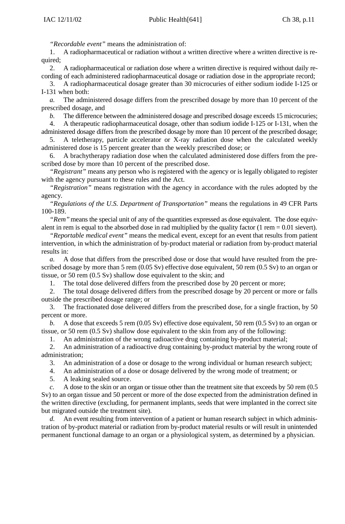*"Recordable event"* means the administration of:

1. A radiopharmaceutical or radiation without a written directive where a written directive is required;

2. A radiopharmaceutical or radiation dose where a written directive is required without daily recording of each administered radiopharmaceutical dosage or radiation dose in the appropriate record;

3. A radiopharmaceutical dosage greater than 30 microcuries of either sodium iodide I-125 or I-131 when both:

*a.* The administered dosage differs from the prescribed dosage by more than 10 percent of the prescribed dosage, and

*b.* The difference between the administered dosage and prescribed dosage exceeds 15 microcuries;

4. A therapeutic radiopharmaceutical dosage, other than sodium iodide I-125 or I-131, when the administered dosage differs from the prescribed dosage by more than 10 percent of the prescribed dosage;

5. A teletherapy, particle accelerator or X-ray radiation dose when the calculated weekly administered dose is 15 percent greater than the weekly prescribed dose; or

6. A brachytherapy radiation dose when the calculated administered dose differs from the prescribed dose by more than 10 percent of the prescribed dose.

*"Registrant"* means any person who is registered with the agency or is legally obligated to register with the agency pursuant to these rules and the Act.

*"Registration"* means registration with the agency in accordance with the rules adopted by the agency.

*"Regulations of the U.S. Department of Transportation"* means the regulations in 49 CFR Parts 100-189.

*"Rem"* means the special unit of any of the quantities expressed as dose equivalent. The dose equivalent in rem is equal to the absorbed dose in rad multiplied by the quality factor  $(1 \text{ rem} = 0.01 \text{ sievert}).$ 

*"Reportable medical event"* means the medical event, except for an event that results from patient intervention, in which the administration of by-product material or radiation from by-product material results in:

*a.* A dose that differs from the prescribed dose or dose that would have resulted from the prescribed dosage by more than 5 rem (0.05 Sv) effective dose equivalent, 50 rem (0.5 Sv) to an organ or tissue, or 50 rem (0.5 Sv) shallow dose equivalent to the skin; and

1. The total dose delivered differs from the prescribed dose by 20 percent or more;

2. The total dosage delivered differs from the prescribed dosage by 20 percent or more or falls outside the prescribed dosage range; or

3. The fractionated dose delivered differs from the prescribed dose, for a single fraction, by 50 percent or more.

*b.* A dose that exceeds 5 rem (0.05 Sv) effective dose equivalent, 50 rem (0.5 Sv) to an organ or tissue, or 50 rem (0.5 Sv) shallow dose equivalent to the skin from any of the following:

1. An administration of the wrong radioactive drug containing by-product material;

2. An administration of a radioactive drug containing by-product material by the wrong route of administration;

3. An administration of a dose or dosage to the wrong individual or human research subject;

4. An administration of a dose or dosage delivered by the wrong mode of treatment; or

5. A leaking sealed source.

*c.* A dose to the skin or an organ or tissue other than the treatment site that exceeds by 50 rem (0.5 Sv) to an organ tissue and 50 percent or more of the dose expected from the administration defined in the written directive (excluding, for permanent implants, seeds that were implanted in the correct site but migrated outside the treatment site).

*d.* An event resulting from intervention of a patient or human research subject in which administration of by-product material or radiation from by-product material results or will result in unintended permanent functional damage to an organ or a physiological system, as determined by a physician.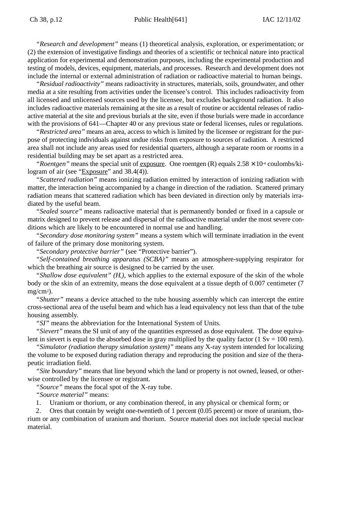*"Research and development"* means (1) theoretical analysis, exploration, or experimentation; or (2) the extension of investigative findings and theories of a scientific or technical nature into practical application for experimental and demonstration purposes, including the experimental production and testing of models, devices, equipment, materials, and processes. Research and development does not include the internal or external administration of radiation or radioactive material to human beings.

*"Residual radioactivity"* means radioactivity in structures, materials, soils, groundwater, and other media at a site resulting from activities under the licensee's control. This includes radioactivity from all licensed and unlicensed sources used by the licensee, but excludes background radiation. It also includes radioactive materials remaining at the site as a result of routine or accidental releases of radioactive material at the site and previous burials at the site, even if those burials were made in accordance with the provisions of 641—Chapter 40 or any previous state or federal licenses, rules or regulations.

*"Restricted area"* means an area, access to which is limited by the licensee or registrant for the purpose of protecting individuals against undue risks from exposure to sources of radiation. A restricted area shall not include any areas used for residential quarters, although a separate room or rooms in a residential building may be set apart as a restricted area.

*"Roentgen"* means the special unit of <u>exposure</u>. One roentgen (R) equals  $2.58 \times 10^4$  coulombs/kilogram of air (see "Exposure" and 38.4(4)).

*"Scattered radiation"* means ionizing radiation emitted by interaction of ionizing radiation with matter, the interaction being accompanied by a change in direction of the radiation. Scattered primary radiation means that scattered radiation which has been deviated in direction only by materials irradiated by the useful beam.

*"Sealed source"* means radioactive material that is permanently bonded or fixed in a capsule or matrix designed to prevent release and dispersal of the radioactive material under the most severe conditions which are likely to be encountered in normal use and handling.

*"Secondary dose monitoring system"* means a system which will terminate irradiation in the event of failure of the primary dose monitoring system.

*"Secondary protective barrier"* (see "Protective barrier").

*"Self-contained breathing apparatus (SCBA)"* means an atmosphere-supplying respirator for which the breathing air source is designed to be carried by the user.

"Shallow dose equivalent"  $(H<sub>s</sub>)$ , which applies to the external exposure of the skin of the whole body or the skin of an extremity, means the dose equivalent at a tissue depth of 0.007 centimeter (7 mg/cm2).

*"Shutter"* means a device attached to the tube housing assembly which can intercept the entire cross-sectional area of the useful beam and which has a lead equivalency not less than that of the tube housing assembly.

*"SI"* means the abbreviation for the International System of Units.

*"Sievert"* means the SI unit of any of the quantities expressed as dose equivalent. The dose equivalent in sievert is equal to the absorbed dose in gray multiplied by the quality factor ( $1 \text{ Sv} = 100 \text{ rem}$ ).

*"Simulator (radiation therapy simulation system)"* means any X-ray system intended for localizing the volume to be exposed during radiation therapy and reproducing the position and size of the therapeutic irradiation field.

*"Site boundary"* means that line beyond which the land or property is not owned, leased, or otherwise controlled by the licensee or registrant.

*"Source"* means the focal spot of the X-ray tube.

*"Source material"* means:

1. Uranium or thorium, or any combination thereof, in any physical or chemical form; or

2. Ores that contain by weight one-twentieth of 1 percent (0.05 percent) or more of uranium, thorium or any combination of uranium and thorium. Source material does not include special nuclear material.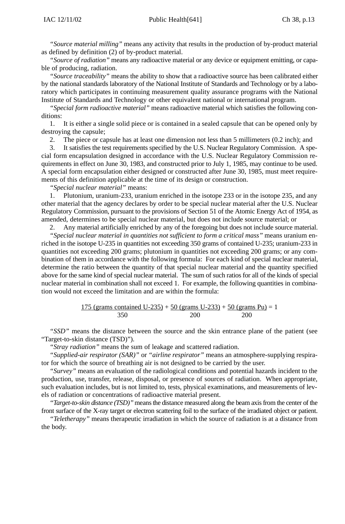*"Source material milling"* means any activity that results in the production of by-product material as defined by definition (2) of by-product material.

*"Source of radiation"* means any radioactive material or any device or equipment emitting, or capable of producing, radiation.

*"Source traceability"* means the ability to show that a radioactive source has been calibrated either by the national standards laboratory of the National Institute of Standards and Technology or by a laboratory which participates in continuing measurement quality assurance programs with the National Institute of Standards and Technology or other equivalent national or international program.

*"Special form radioactive material"* means radioactive material which satisfies the following conditions:

1. It is either a single solid piece or is contained in a sealed capsule that can be opened only by destroying the capsule;

2. The piece or capsule has at least one dimension not less than 5 millimeters (0.2 inch); and

3. It satisfies the test requirements specified by the U.S. Nuclear Regulatory Commission. A special form encapsulation designed in accordance with the U.S. Nuclear Regulatory Commission requirements in effect on June 30, 1983, and constructed prior to July 1, 1985, may continue to be used. A special form encapsulation either designed or constructed after June 30, 1985, must meet requirements of this definition applicable at the time of its design or construction.

*"Special nuclear material"* means:

1. Plutonium, uranium-233, uranium enriched in the isotope 233 or in the isotope 235, and any other material that the agency declares by order to be special nuclear material after the U.S. Nuclear Regulatory Commission, pursuant to the provisions of Section 51 of the Atomic Energy Act of 1954, as amended, determines to be special nuclear material, but does not include source material; or

2. Any material artificially enriched by any of the foregoing but does not include source material.

*"Special nuclear material in quantities not sufficient to form a critical mass"* means uranium enriched in the isotope U-235 in quantities not exceeding 350 grams of contained U-235; uranium-233 in quantities not exceeding 200 grams; plutonium in quantities not exceeding 200 grams; or any combination of them in accordance with the following formula: For each kind of special nuclear material, determine the ratio between the quantity of that special nuclear material and the quantity specified above for the same kind of special nuclear material. The sum of such ratios for all of the kinds of special nuclear material in combination shall not exceed 1. For example, the following quantities in combination would not exceed the limitation and are within the formula:

$$
\frac{175 \text{ (grams contained U-235)} + 50 \text{ (grams U-233)} + 50 \text{ (grams Pu)}}{350} = 1
$$

*"SSD"* means the distance between the source and the skin entrance plane of the patient (see "Target-to-skin distance (TSD)").

*"Stray radiation"* means the sum of leakage and scattered radiation.

*"Supplied-air respirator (SAR)"* or *"airline respirator"* means an atmosphere-supplying respirator for which the source of breathing air is not designed to be carried by the user.

*"Survey"* means an evaluation of the radiological conditions and potential hazards incident to the production, use, transfer, release, disposal, or presence of sources of radiation. When appropriate, such evaluation includes, but is not limited to, tests, physical examinations, and measurements of levels of radiation or concentrations of radioactive material present.

*"Target-to-skin distance (TSD)"* means the distance measured along the beam axis from the center of the front surface of the X-ray target or electron scattering foil to the surface of the irradiated object or patient.

*"Teletherapy"* means therapeutic irradiation in which the source of radiation is at a distance from the body.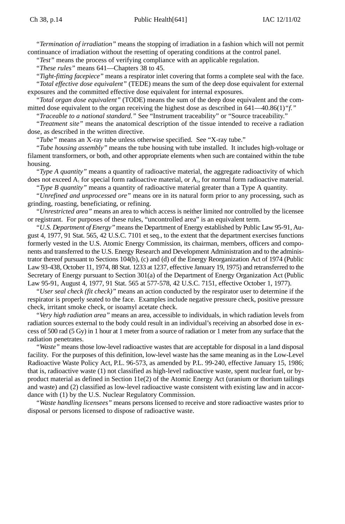*"Termination of irradiation"* means the stopping of irradiation in a fashion which will not permit continuance of irradiation without the resetting of operating conditions at the control panel.

*"Test"* means the process of verifying compliance with an applicable regulation.

*"These rules"* means 641—Chapters 38 to 45.

*"Tight-fitting facepiece"* means a respirator inlet covering that forms a complete seal with the face. *"Total effective dose equivalent"* (TEDE) means the sum of the deep dose equivalent for external exposures and the committed effective dose equivalent for internal exposures.

*"Total organ dose equivalent"* (TODE) means the sum of the deep dose equivalent and the committed dose equivalent to the organ receiving the highest dose as described in 641—40.86(1)*"f."*

*"Traceable to a national standard."* See "Instrument traceability" or "Source traceability."

*"Treatment site"* means the anatomical description of the tissue intended to receive a radiation dose, as described in the written directive.

*"Tube"* means an X-ray tube unless otherwise specified. See "X-ray tube."

*"Tube housing assembly"* means the tube housing with tube installed. It includes high-voltage or filament transformers, or both, and other appropriate elements when such are contained within the tube housing.

*"Type A quantity"* means a quantity of radioactive material, the aggregate radioactivity of which does not exceed  $A_1$  for special form radioactive material, or  $A_2$ , for normal form radioactive material.

*"Type B quantity"* means a quantity of radioactive material greater than a Type A quantity.

*"Unrefined and unprocessed ore"* means ore in its natural form prior to any processing, such as grinding, roasting, beneficiating, or refining.

*"Unrestricted area"* means an area to which access is neither limited nor controlled by the licensee or registrant. For purposes of these rules, "uncontrolled area" is an equivalent term.

*"U.S. Department of Energy"* means the Department of Energy established by Public Law 95-91, August 4, 1977, 91 Stat. 565, 42 U.S.C. 7101 et seq., to the extent that the department exercises functions formerly vested in the U.S. Atomic Energy Commission, its chairman, members, officers and components and transferred to the U.S. Energy Research and Development Administration and to the administrator thereof pursuant to Sections 104(b), (c) and (d) of the Energy Reorganization Act of 1974 (Public Law 93-438, October 11, 1974, 88 Stat. 1233 at 1237, effective January 19, 1975) and retransferred to the Secretary of Energy pursuant to Section 301(a) of the Department of Energy Organization Act (Public Law 95-91, August 4, 1977, 91 Stat. 565 at 577-578, 42 U.S.C. 7151, effective October 1, 1977).

*"User seal check (fit check)"* means an action conducted by the respirator user to determine if the respirator is properly seated to the face. Examples include negative pressure check, positive pressure check, irritant smoke check, or isoamyl acetate check.

*"Very high radiation area"* means an area, accessible to individuals, in which radiation levels from radiation sources external to the body could result in an individual's receiving an absorbed dose in excess of 500 rad (5 Gy) in 1 hour at 1 meter from a source of radiation or 1 meter from any surface that the radiation penetrates.

*"Waste"* means those low-level radioactive wastes that are acceptable for disposal in a land disposal facility. For the purposes of this definition, low-level waste has the same meaning as in the Low-Level Radioactive Waste Policy Act, P.L. 96-573, as amended by P.L. 99-240, effective January 15, 1986; that is, radioactive waste (1) not classified as high-level radioactive waste, spent nuclear fuel, or byproduct material as defined in Section 11e(2) of the Atomic Energy Act (uranium or thorium tailings and waste) and (2) classified as low-level radioactive waste consistent with existing law and in accordance with (1) by the U.S. Nuclear Regulatory Commission.

*"Waste handling licensees"* means persons licensed to receive and store radioactive wastes prior to disposal or persons licensed to dispose of radioactive waste.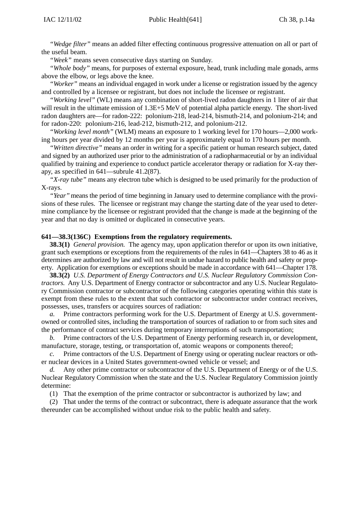*"Wedge filter"* means an added filter effecting continuous progressive attenuation on all or part of the useful beam.

*"Week"* means seven consecutive days starting on Sunday.

*"Whole body"* means, for purposes of external exposure, head, trunk including male gonads, arms above the elbow, or legs above the knee.

*"Worker"* means an individual engaged in work under a license or registration issued by the agency and controlled by a licensee or registrant, but does not include the licensee or registrant.

*"Working level"* (WL) means any combination of short-lived radon daughters in 1 liter of air that will result in the ultimate emission of 1.3E+5 MeV of potential alpha particle energy. The short-lived radon daughters are—for radon-222: polonium-218, lead-214, bismuth-214, and polonium-214; and for radon-220: polonium-216, lead-212, bismuth-212, and polonium-212.

*"Working level month"* (WLM) means an exposure to 1 working level for 170 hours—2,000 working hours per year divided by 12 months per year is approximately equal to 170 hours per month.

*"Written directive"* means an order in writing for a specific patient or human research subject, dated and signed by an authorized user prior to the administration of a radiopharmaceutial or by an individual qualified by training and experience to conduct particle accelerator therapy or radiation for X-ray therapy, as specified in 641—subrule 41.2(87).

*"X-ray tube"* means any electron tube which is designed to be used primarily for the production of X-rays.

*"Year"* means the period of time beginning in January used to determine compliance with the provisions of these rules. The licensee or registrant may change the starting date of the year used to determine compliance by the licensee or registrant provided that the change is made at the beginning of the year and that no day is omitted or duplicated in consecutive years.

#### **641—38.3(136C) Exemptions from the regulatory requirements.**

**38.3(1)** *General provision.* The agency may, upon application therefor or upon its own initiative, grant such exemptions or exceptions from the requirements of the rules in 641—Chapters 38 to 46 as it determines are authorized by law and will not result in undue hazard to public health and safety or property. Application for exemptions or exceptions should be made in accordance with 641—Chapter 178.

**38.3(2)** *U.S. Department of Energy Contractors and U.S. Nuclear Regulatory Commission Contractors.* Any U.S. Department of Energy contractor or subcontractor and any U.S. Nuclear Regulatory Commission contractor or subcontractor of the following categories operating within this state is exempt from these rules to the extent that such contractor or subcontractor under contract receives, possesses, uses, transfers or acquires sources of radiation:

*a.* Prime contractors performing work for the U.S. Department of Energy at U.S. governmentowned or controlled sites, including the transportation of sources of radiation to or from such sites and the performance of contract services during temporary interruptions of such transportation;

*b.* Prime contractors of the U.S. Department of Energy performing research in, or development, manufacture, storage, testing, or transportation of, atomic weapons or components thereof;

*c.* Prime contractors of the U.S. Department of Energy using or operating nuclear reactors or other nuclear devices in a United States government-owned vehicle or vessel; and

*d.* Any other prime contractor or subcontractor of the U.S. Department of Energy or of the U.S. Nuclear Regulatory Commission when the state and the U.S. Nuclear Regulatory Commission jointly determine:

(1) That the exemption of the prime contractor or subcontractor is authorized by law; and

(2) That under the terms of the contract or subcontract, there is adequate assurance that the work thereunder can be accomplished without undue risk to the public health and safety.